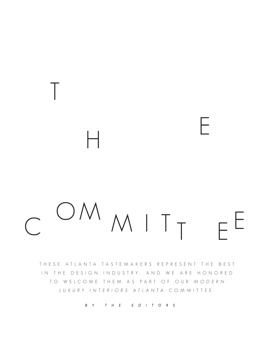MIT E H O M C <sup>U</sup>/VI M I T T E E

T

THESE ATLANTA TASTEMAKERS REPRESENT THE BEST IN THE DESIGN INDUSTRY, AND WE ARE HONORED TO WELCOME THEM AS PART OF OUR MODERN LUXURY INTERIORS ATLANTA COMMITTEE.

BY THE EDITORS